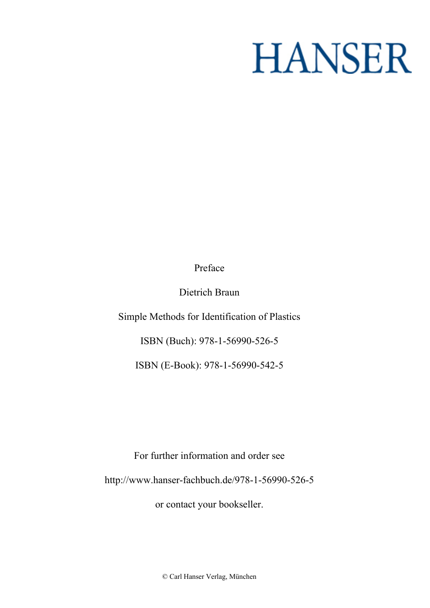## **HANSER**

**Preface**

**Dietrich Braun**

**Simple Methods for Identification of Plastics**

**ISBN (Buch): 978-1-56990-526-5**

**ISBN (E-Book): 978-1-56990-542-5**

**For further information and order see**

**<http://www.hanser-fachbuch.de/978-1-56990-526-5>**

**or contact your bookseller.**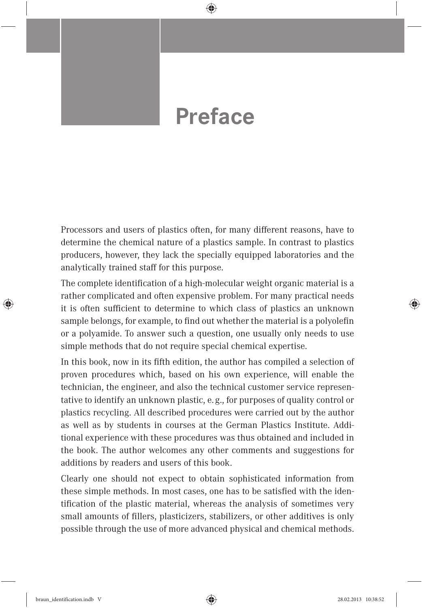## **Preface**

Processors and users of plastics often, for many different reasons, have to determine the chemical nature of a plastics sample. In contrast to plastics producers, however, they lack the specially equipped laboratories and the analytically trained staff for this purpose.

The complete identification of a high-molecular weight organic material is a rather complicated and often expensive problem. For many practical needs it is often sufficient to determine to which class of plastics an unknown sample belongs, for example, to find out whether the material is a polyolefin or a polyamide. To answer such a question, one usually only needs to use simple methods that do not require special chemical expertise.

In this book, now in its fifth edition, the author has compiled a selection of proven procedures which, based on his own experience, will enable the technician, the engineer, and also the technical customer service representative to identify an unknown plastic, e. g., for purposes of quality control or plastics recycling. All described procedures were carried out by the author as well as by students in courses at the German Plastics Institute. Additional experience with these procedures was thus obtained and included in the book. The author welcomes any other comments and suggestions for additions by readers and users of this book.

Clearly one should not expect to obtain sophisticated information from these simple methods. In most cases, one has to be satisfied with the identification of the plastic material, whereas the analysis of sometimes very small amounts of fillers, plasticizers, stabilizers, or other additives is only possible through the use of more advanced physical and chemical methods.